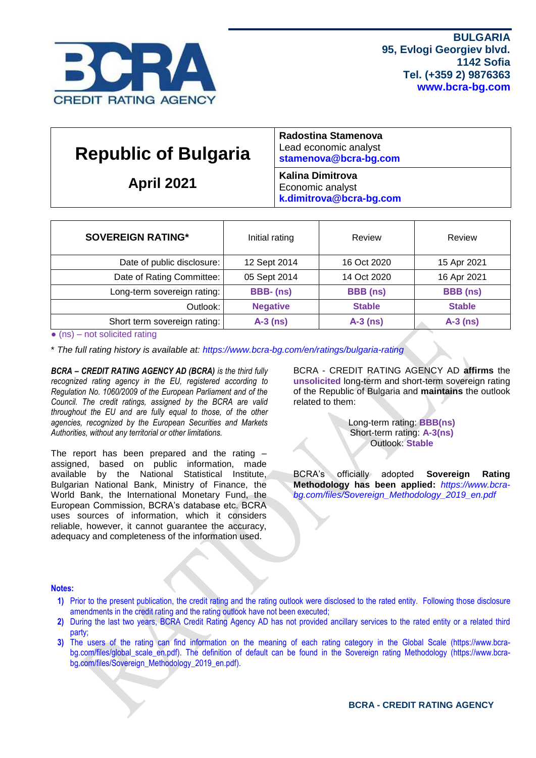

| <b>Republic of Bulgaria</b><br><b>April 2021</b> | Radostina Stamenova<br>Lead economic analyst<br>stamenova@bcra-bg.com  |
|--------------------------------------------------|------------------------------------------------------------------------|
|                                                  | <b>Kalina Dimitrova</b><br>Economic analyst<br>k.dimitrova@bcra-bg.com |

| <b>SOVEREIGN RATING*</b>     | Initial rating  | Review          | Review          |
|------------------------------|-----------------|-----------------|-----------------|
| Date of public disclosure:   | 12 Sept 2014    | 16 Oct 2020     | 15 Apr 2021     |
| Date of Rating Committee:    | 05 Sept 2014    | 14 Oct 2020     | 16 Apr 2021     |
| Long-term sovereign rating:  | BBB-(ns)        | <b>BBB</b> (ns) | <b>BBB</b> (ns) |
| Outlook:                     | <b>Negative</b> | <b>Stable</b>   | <b>Stable</b>   |
| Short term sovereign rating: | $A-3$ (ns)      | $A-3$ (ns)      | $A-3$ (ns)      |

 $\bullet$  (ns) – not solicited rating

\* *The full rating history is available at:<https://www.bcra-bg.com/en/ratings/bulgaria-rating>*

*BCRA – CREDIT RATING AGENCY AD (BCRA) is the third fully recognized rating agency in the EU, registered according to Regulation No. 1060/2009 of the European Parliament and of the Council. The credit ratings, assigned by the BCRA are valid throughout the EU and are fully equal to those, of the other agencies, recognized by the European Securities and Markets Authorities, without any territorial or other limitations.*

The report has been prepared and the rating – assigned, based on public information, made available by the National Statistical Institute, Bulgarian National Bank, Ministry of Finance, the World Bank, the International Monetary Fund, the European Commission, BCRA's database etc. BCRA uses sources of information, which it considers reliable, however, it cannot guarantee the accuracy, adequacy and completeness of the information used.

BCRA - CREDIT RATING AGENCY AD **affirms** the **unsolicited** long-term and short-term sovereign rating of the Republic of Bulgaria and **maintains** the outlook related to them:

> Long-term rating: **BBB(ns)** Short-term rating: **A-3(ns)** Outlook: **Stable**

BCRA's officially adopted **Sovereign Rating Methodology has been applied:** *[https://www.bcra](https://www.bcra-bg.com/files/Sovereign_Methodology_2019_en.pdf)[bg.com/files/Sovereign\\_Methodology\\_2019\\_en.pdf](https://www.bcra-bg.com/files/Sovereign_Methodology_2019_en.pdf)*

#### **Notes:**

- **1)** Prior to the present publication, the credit rating and the rating outlook were disclosed to the rated entity. Following those disclosure amendments in the credit rating and the rating outlook have not been executed;
- **2)** During the last two years, BCRA Credit Rating Agency AD has not provided ancillary services to the rated entity or a related third party;
- **3)** The users of the rating can find information on the meaning of each rating category in the Global Scale [\(https://www.bcra](https://www.bcra-bg.com/files/global_scale_en.pdf)[bg.com/files/global\\_scale\\_en.pdf\)](https://www.bcra-bg.com/files/global_scale_en.pdf). The definition of default can be found in the Sovereign rating Methodology [\(https://www.bcra](https://www.bcra-bg.com/files/Sovereign_Methodology_2019_en.pdf)[bg.com/files/Sovereign\\_Methodology\\_2019\\_en.pdf\)](https://www.bcra-bg.com/files/Sovereign_Methodology_2019_en.pdf).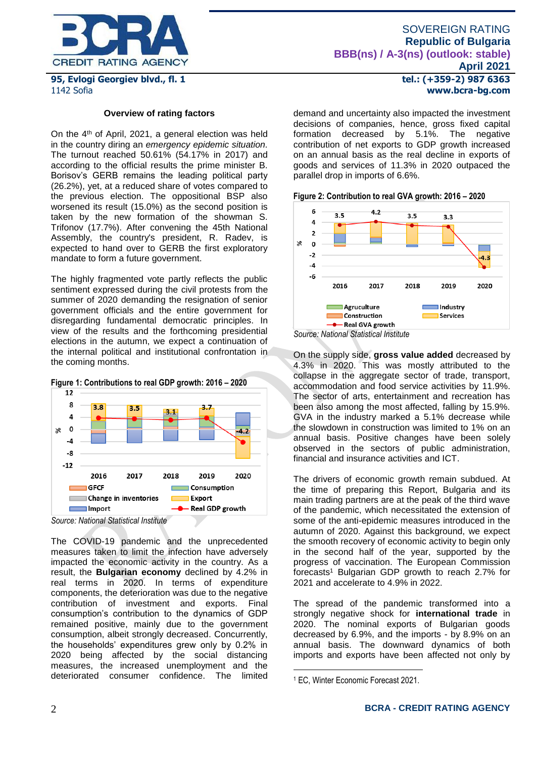

## **95, Evlogi Georgiev blvd., fl. 1** 1142 Sofia

#### **Overview of rating factors**

On the 4th of April, 2021, a general election was held in the country diring an *emergency epidemic situation.*  The turnout reached 50.61% (54.17% in 2017) and according to the official results the prime minister B. Borisov's GERB remains the leading political party (26.2%), yet, at a reduced share of votes compared to the previous election. The oppositional BSP also worsened its result (15.0%) as the second position is taken by the new formation of the showman S. Trifonov (17.7%). After convening the 45th National Assembly, the country's president, R. Radev, is expected to hand over to GERB the first exploratory mandate to form a future government.

The highly fragmented vote partly reflects the public sentiment expressed during the civil protests from the summer of 2020 demanding the resignation of senior government officials and the entire government for disregarding fundamental democratic principles. In view of the results and the forthcoming presidential elections in the autumn, we expect a continuation of the internal political and institutional confrontation in the coming months.





*Source: National Statistical Institute*

The COVID-19 pandemic and the unprecedented measures taken to limit the infection have adversely impacted the economic activity in the country. As a result, the **Bulgarian economy** declined by 4.2% in real terms in 2020. In terms of expenditure components, the deterioration was due to the negative contribution of investment and exports. Final consumption's contribution to the dynamics of GDP remained positive, mainly due to the government consumption, albeit strongly decreased. Concurrently, the households' expenditures grew only by 0.2% in 2020 being affected by the social distancing measures, the increased unemployment and the deteriorated consumer confidence. The limited **tel.: (+359-2) 987 6363 www.bcra-bg.com** 

demand and uncertainty also impacted the investment decisions of companies, hence, gross fixed capital formation decreased by 5.1%. The negative contribution of net exports to GDP growth increased on an annual basis as the real decline in exports of goods and services of 11.3% in 2020 outpaced the parallel drop in imports of 6.6%.

**Figure 2: Contribution to real GVA growth: 2016 – 2020**



On the supply side, **gross value added** decreased by 4.3% in 2020. This was mostly attributed to the collapse in the aggregate sector of trade, transport, accommodation and food service activities by 11.9%. The sector of arts, entertainment and recreation has been also among the most affected, falling by 15.9%. GVA in the industry marked a 5.1% decrease while the slowdown in construction was limited to 1% on an annual basis. Positive changes have been solely observed in the sectors of public administration, financial and insurance activities and ICT.

The drivers of economic growth remain subdued. At the time of preparing this Report, Bulgaria and its main trading partners are at the peak of the third wave of the pandemic, which necessitated the extension of some of the anti-epidemic measures introduced in the autumn of 2020. Against this background, we expect the smooth recovery of economic activity to begin only in the second half of the year, supported by the progress of vaccination. The European Commission forecasts<sup>1</sup> Bulgarian GDP growth to reach 2.7% for 2021 and accelerate to 4.9% in 2022.

The spread of the pandemic transformed into a strongly negative shock for **international trade** in 2020. The nominal exports of Bulgarian goods decreased by 6.9%, and the imports - by 8.9% on an annual basis. The downward dynamics of both imports and exports have been affected not only by

1

<sup>1</sup> EC, Winter Economic Forecast 2021.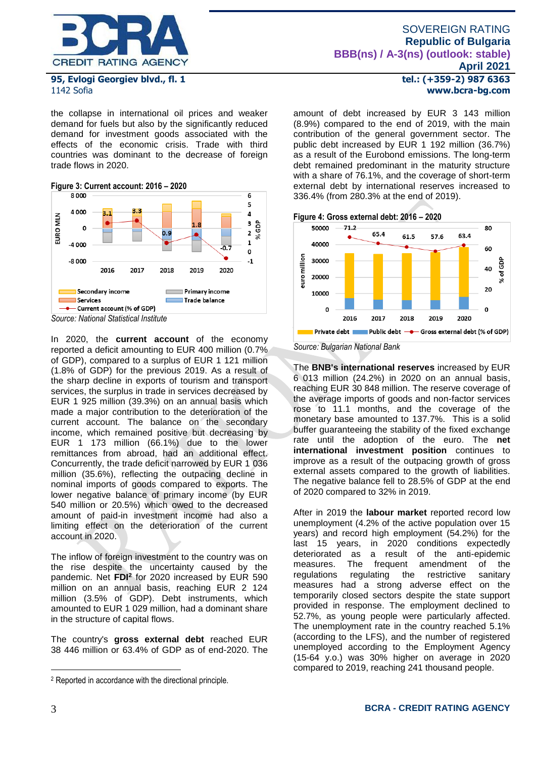

## **95, Evlogi Georgiev blvd., fl. 1** 1142 Sofia

the collapse in international oil prices and weaker demand for fuels but also by the significantly reduced demand for investment goods associated with the effects of the economic crisis. Trade with third countries was dominant to the decrease of foreign trade flows in 2020.

# **Figure 3: Current account: 2016 – 2020**



*Source: National Statistical Institute*

In 2020, the **current account** of the economy reported a deficit amounting to EUR 400 million (0.7% of GDP), compared to a surplus of EUR 1 121 million (1.8% of GDP) for the previous 2019. As a result of the sharp decline in exports of tourism and transport services, the surplus in trade in services decreased by EUR 1 925 million (39.3%) on an annual basis which made a major contribution to the deterioration of the current account. The balance on the secondary income, which remained positive but decreasing by EUR 1 173 million (66.1%) due to the lower remittances from abroad, had an additional effect. Concurrently, the trade deficit narrowed by EUR 1 036 million (35.6%), reflecting the outpacing decline in nominal imports of goods compared to exports. The lower negative balance of primary income (by EUR 540 million or 20.5%) which owed to the decreased amount of paid-in investment income had also a limiting effect on the deterioration of the current account in 2020.

The inflow of foreign investment to the country was on the rise despite the uncertainty caused by the pandemic. Net **FDI<sup>2</sup>** for 2020 increased by EUR 590 million on an annual basis, reaching EUR 2 124 million (3.5% of GDP). Debt instruments, which amounted to EUR 1 029 million, had a dominant share in the structure of capital flows.

The country's **gross external debt** reached EUR 38 446 million or 63.4% of GDP as of end-2020. The **tel.: (+359-2) 987 6363 www.bcra-bg.com** 

amount of debt increased by EUR 3 143 million (8.9%) compared to the end of 2019, with the main contribution of the general government sector. The public debt increased by EUR 1 192 million (36.7%) as a result of the Eurobond emissions. The long-term debt remained predominant in the maturity structure with a share of 76.1%, and the coverage of short-term external debt by international reserves increased to 336.4% (from 280.3% at the end of 2019).



*Source: Bulgarian National Bank*

The **BNB's international reserves** increased by EUR 6 013 million (24.2%) in 2020 on an annual basis, reaching EUR 30 848 million. The reserve coverage of the average imports of goods and non-factor services rose to 11.1 months, and the coverage of the monetary base amounted to 137.7%. This is a solid buffer guaranteeing the stability of the fixed exchange rate until the adoption of the euro. The **net international investment position** continues to improve as a result of the outpacing growth of gross external assets compared to the growth of liabilities. The negative balance fell to 28.5% of GDP at the end of 2020 compared to 32% in 2019.

After in 2019 the **labour market** reported record low unemployment (4.2% of the active population over 15 years) and record high employment (54.2%) for the last 15 years, in 2020 conditions expectedly deteriorated as a result of the anti-epidemic<br>measures. The frequent amendment of the measures. The frequent amendment of the regulations regulating the restrictive sanitary measures had a strong adverse effect on the temporarily closed sectors despite the state support provided in response. The employment declined to 52.7%, as young people were particularly affected. The unemployment rate in the country reached 5.1% (according to the LFS), and the number of registered unemployed according to the Employment Agency (15-64 y.o.) was 30% higher on average in 2020 compared to 2019, reaching 241 thousand people.

1

<sup>2</sup> Reported in accordance with the directional principle.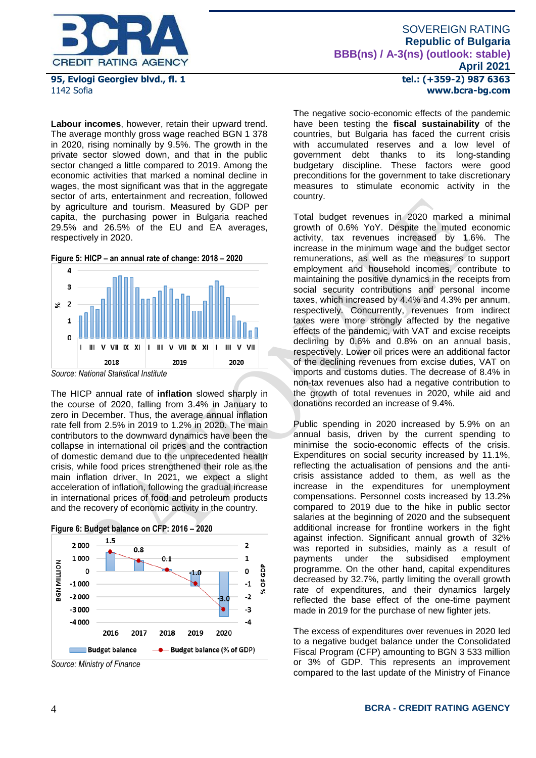

**95, Evlogi Georgiev blvd., fl. 1** 1142 Sofia

**Labour incomes**, however, retain their upward trend. The average monthly gross wage reached BGN 1 378 in 2020, rising nominally by 9.5%. The growth in the private sector slowed down, and that in the public sector changed a little compared to 2019. Among the economic activities that marked a nominal decline in wages, the most significant was that in the aggregate sector of arts, entertainment and recreation, followed by agriculture and tourism. Measured by GDP per capita, the purchasing power in Bulgaria reached 29.5% and 26.5% of the EU and EA averages, respectively in 2020.

**Figure 5: HICP – an annual rate of change: 2018 – 2020**



The HICP annual rate of **inflation** slowed sharply in the course of 2020, falling from 3.4% in January to zero in December. Thus, the average annual inflation rate fell from 2.5% in 2019 to 1.2% in 2020. The main contributors to the downward dynamics have been the collapse in international oil prices and the contraction of domestic demand due to the unprecedented health crisis, while food prices strengthened their role as the main inflation driver. In 2021, we expect a slight acceleration of inflation, following the gradual increase in international prices of food and petroleum products and the recovery of economic activity in the country.



*Source: Ministry of Finance*

**tel.: (+359-2) 987 6363 www.bcra-bg.com** 

The negative socio-economic effects of the pandemic have been testing the **fiscal sustainability** of the countries, but Bulgaria has faced the current crisis with accumulated reserves and a low level of government debt thanks to its long-standing budgetary discipline. These factors were good preconditions for the government to take discretionary measures to stimulate economic activity in the country.

Total budget revenues in 2020 marked a minimal growth of 0.6% YoY. Despite the muted economic activity, tax revenues increased by 1.6%. The increase in the minimum wage and the budget sector remunerations, as well as the measures to support employment and household incomes, contribute to maintaining the positive dynamics in the receipts from social security contributions and personal income taxes, which increased by 4.4% and 4.3% per annum, respectively. Concurrently, revenues from indirect taxes were more strongly affected by the negative effects of the pandemic, with VAT and excise receipts declining by 0.6% and 0.8% on an annual basis, respectively. Lower oil prices were an additional factor of the declining revenues from excise duties, VAT on imports and customs duties. The decrease of 8.4% in non-tax revenues also had a negative contribution to the growth of total revenues in 2020, while aid and donations recorded an increase of 9.4%.

Public spending in 2020 increased by 5.9% on an annual basis, driven by the current spending to minimise the socio-economic effects of the crisis. Expenditures on social security increased by 11.1%, reflecting the actualisation of pensions and the anticrisis assistance added to them, as well as the increase in the expenditures for unemployment compensations. Personnel costs increased by 13.2% compared to 2019 due to the hike in public sector salaries at the beginning of 2020 and the subsequent additional increase for frontline workers in the fight against infection. Significant annual growth of 32% was reported in subsidies, mainly as a result of payments under the subsidised employment programme. On the other hand, capital expenditures decreased by 32.7%, partly limiting the overall growth rate of expenditures, and their dynamics largely reflected the base effect of the one-time payment made in 2019 for the purchase of new fighter jets.

The excess of expenditures over revenues in 2020 led to a negative budget balance under the Consolidated Fiscal Program (CFP) amounting to BGN 3 533 million or 3% of GDP. This represents an improvement compared to the last update of the Ministry of Finance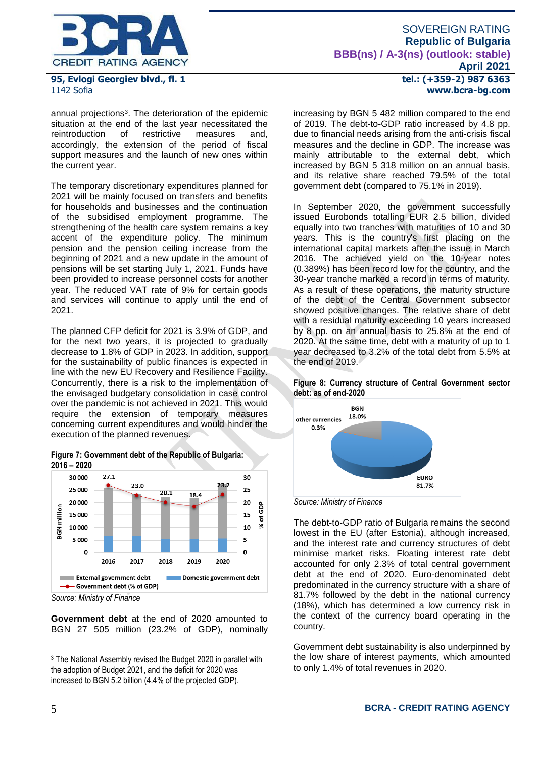

## **95, Evlogi Georgiev blvd., fl. 1** 1142 Sofia

annual projections<sup>3</sup>. The deterioration of the epidemic situation at the end of the last year necessitated the reintroduction of restrictive measures and, accordingly, the extension of the period of fiscal support measures and the launch of new ones within the current year.

The temporary discretionary expenditures planned for 2021 will be mainly focused on transfers and benefits for households and businesses and the continuation of the subsidised employment programme. The strengthening of the health care system remains a key accent of the expenditure policy. The minimum pension and the pension ceiling increase from the beginning of 2021 and a new update in the amount of pensions will be set starting July 1, 2021. Funds have been provided to increase personnel costs for another year. The reduced VAT rate of 9% for certain goods and services will continue to apply until the end of 2021.

The planned CFP deficit for 2021 is 3.9% of GDP, and for the next two years, it is projected to gradually decrease to 1.8% of GDP in 2023. In addition, support for the sustainability of public finances is expected in line with the new EU Recovery and Resilience Facility. Concurrently, there is a risk to the implementation of the envisaged budgetary consolidation in case control over the pandemic is not achieved in 2021. This would require the extension of temporary measures concerning current expenditures and would hinder the execution of the planned revenues.





*Source: Ministry of Finance*

**Government debt** at the end of 2020 amounted to BGN 27 505 million (23.2% of GDP), nominally **tel.: (+359-2) 987 6363 www.bcra-bg.com** 

increasing by BGN 5 482 million compared to the end of 2019. The debt-to-GDP ratio increased by 4.8 pp. due to financial needs arising from the anti-crisis fiscal measures and the decline in GDP. The increase was mainly attributable to the external debt, which increased by BGN 5 318 million on an annual basis, and its relative share reached 79.5% of the total government debt (compared to 75.1% in 2019).

In September 2020, the government successfully issued Eurobonds totalling EUR 2.5 billion, divided equally into two tranches with maturities of 10 and 30 years. This is the country's first placing on the international capital markets after the issue in March 2016. The achieved yield on the 10-year notes (0.389%) has been record low for the country, and the 30-year tranche marked a record in terms of maturity. As a result of these operations, the maturity structure of the debt of the Central Government subsector showed positive changes. The relative share of debt with a residual maturity exceeding 10 years increased by 8 pp. on an annual basis to 25.8% at the end of 2020. At the same time, debt with a maturity of up to 1 year decreased to 3.2% of the total debt from 5.5% at the end of 2019.

**Figure 8: Currency structure of Central Government sector debt: as of end-2020**



*Source: Ministry of Finance*

The debt-to-GDP ratio of Bulgaria remains the second lowest in the EU (after Estonia), although increased, and the interest rate and currency structures of debt minimise market risks. Floating interest rate debt accounted for only 2.3% of total central government debt at the end of 2020. Euro-denominated debt predominated in the currency structure with a share of 81.7% followed by the debt in the national currency (18%), which has determined a low currency risk in the context of the currency board operating in the country.

Government debt sustainability is also underpinned by the low share of interest payments, which amounted to only 1.4% of total revenues in 2020.

<u>.</u>

<sup>3</sup> The National Assembly revised the Budget 2020 in parallel with the adoption of Budget 2021, and the deficit for 2020 was increased to BGN 5.2 billion (4.4% of the projected GDP).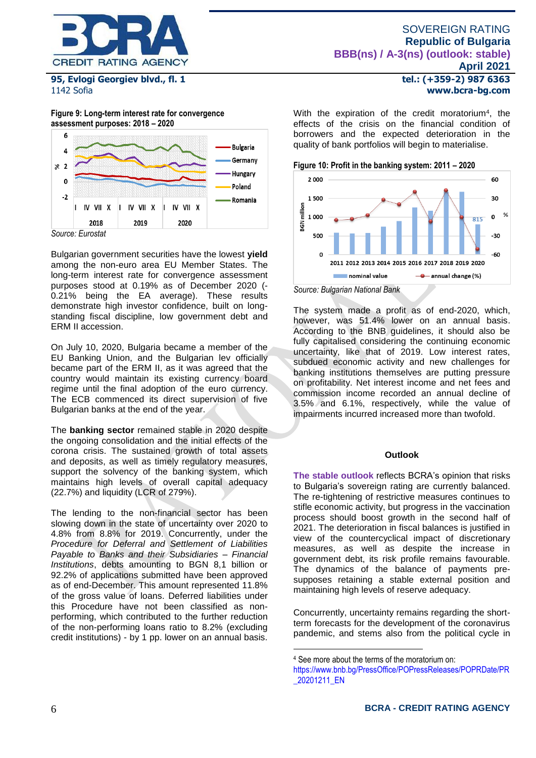

**95, Evlogi Georgiev blvd., fl. 1** 1142 Sofia

**Figure 9: Long-term interest rate for convergence assessment purposes: 2018 – 2020** 



Bulgarian government securities have the lowest **yield** among the non-euro area EU Member States. The long-term interest rate for convergence assessment purposes stood at 0.19% as of December 2020 (- 0.21% being the EA average). These results demonstrate high investor confidence, built on longstanding fiscal discipline, low government debt and ERM II accession.

On July 10, 2020, Bulgaria became a member of the EU Banking Union, and the Bulgarian lev officially became part of the ERM II, as it was agreed that the country would maintain its existing currency board regime until the final adoption of the euro currency. The ECB commenced its direct supervision of five Bulgarian banks at the end of the year.

The **banking sector** remained stable in 2020 despite the ongoing consolidation and the initial effects of the corona crisis. The sustained growth of total assets and deposits, as well as timely regulatory measures, support the solvency of the banking system, which maintains high levels of overall capital adequacy (22.7%) and liquidity (LCR of 279%).

The lending to the non-financial sector has been slowing down in the state of uncertainty over 2020 to 4.8% from 8.8% for 2019. Concurrently, under the *Procedure for Deferral and Settlement of Liabilities Payable to Banks and their Subsidiaries – Financial Institutions*, debts amounting to BGN 8,1 billion or 92.2% of applications submitted have been approved as of end-December. This amount represented 11.8% of the gross value of loans. Deferred liabilities under this Procedure have not been classified as nonperforming, which contributed to the further reduction of the non-performing loans ratio to 8.2% (excluding credit institutions) - by 1 pp. lower on an annual basis.

**tel.: (+359-2) 987 6363 www.bcra-bg.com** 

With the expiration of the credit moratorium<sup>4</sup>, the effects of the crisis on the financial condition of borrowers and the expected deterioration in the quality of bank portfolios will begin to materialise.





*Source: Bulgarian National Bank*

The system made a profit as of end-2020, which, however, was 51.4% lower on an annual basis. According to the BNB guidelines, it should also be fully capitalised considering the continuing economic uncertainty, like that of 2019. Low interest rates, subdued economic activity and new challenges for banking institutions themselves are putting pressure on profitability. Net interest income and net fees and commission income recorded an annual decline of 3.5% and 6.1%, respectively, while the value of impairments incurred increased more than twofold.

#### **Outlook**

**The stable outlook** reflects BCRA's opinion that risks to Bulgaria's sovereign rating are currently balanced. The re-tightening of restrictive measures continues to stifle economic activity, but progress in the vaccination process should boost growth in the second half of 2021. The deterioration in fiscal balances is justified in view of the countercyclical impact of discretionary measures, as well as despite the increase in government debt, its risk profile remains favourable. The dynamics of the balance of payments presupposes retaining a stable external position and maintaining high levels of reserve adequacy.

Concurrently, uncertainty remains regarding the shortterm forecasts for the development of the coronavirus pandemic, and stems also from the political cycle in

<u>.</u>

<sup>4</sup> See more about the terms of the moratorium on:

[https://www.bnb.bg/PressOffice/POPressReleases/POPRDate/PR](https://www.bnb.bg/PressOffice/POPressReleases/POPRDate/PR_20201211_EN) [\\_20201211\\_EN](https://www.bnb.bg/PressOffice/POPressReleases/POPRDate/PR_20201211_EN)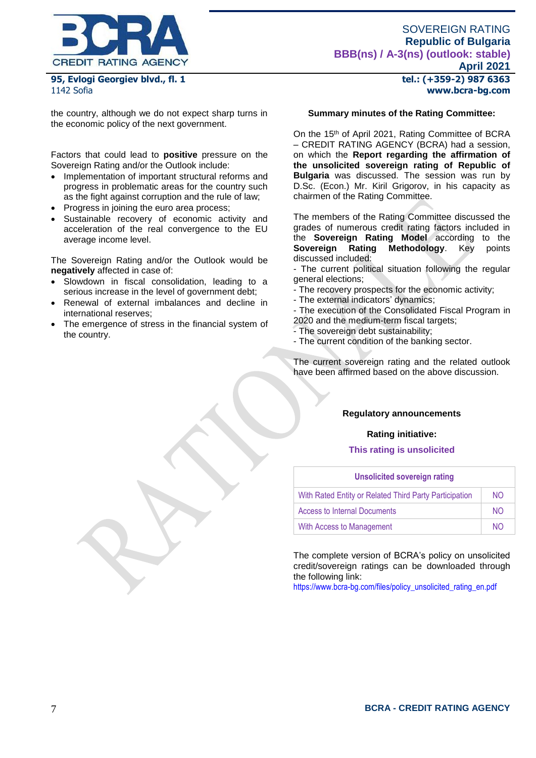

**95, Evlogi Georgiev blvd., fl. 1** 1142 Sofia

the country, although we do not expect sharp turns in the economic policy of the next government.

Factors that could lead to **positive** pressure on the Sovereign Rating and/or the Outlook include:

- Implementation of important structural reforms and progress in problematic areas for the country such as the fight against corruption and the rule of law;
- Progress in joining the euro area process;
- Sustainable recovery of economic activity and acceleration of the real convergence to the EU average income level.

The Sovereign Rating and/or the Outlook would be **negatively** affected in case of:

- Slowdown in fiscal consolidation, leading to a serious increase in the level of government debt;
- Renewal of external imbalances and decline in international reserves;
- The emergence of stress in the financial system of the country.

**tel.: (+359-2) 987 6363 www.bcra-bg.com** 

#### **Summary minutes of the Rating Committee:**

On the 15<sup>th</sup> of April 2021, Rating Committee of BCRA – CREDIT RATING AGENCY (BCRA) had a session, on which the **Report regarding the affirmation of the unsolicited sovereign rating of Republic of Bulgaria** was discussed. The session was run by D.Sc. (Econ.) Mr. Kiril Grigorov, in his capacity as chairmen of the Rating Committee.

The members of the Rating Committee discussed the grades of numerous credit rating factors included in the **Sovereign Rating Model** according to the **Sovereign Rating Methodology**. Key points discussed included:

- The current political situation following the regular general elections;
- The recovery prospects for the economic activity;
- The external indicators' dynamics;
- The execution of the Consolidated Fiscal Program in 2020 and the medium-term fiscal targets;
- The sovereign debt sustainability;
- The current condition of the banking sector.

The current sovereign rating and the related outlook have been affirmed based on the above discussion.

#### **Regulatory announcements**

#### **Rating initiative:**

#### **This rating is unsolicited**

| <b>Unsolicited sovereign rating</b>                    |                |  |  |  |
|--------------------------------------------------------|----------------|--|--|--|
| With Rated Entity or Related Third Party Participation | N <sub>O</sub> |  |  |  |
| Access to Internal Documents                           | NO.            |  |  |  |
| With Access to Management                              | NΩ             |  |  |  |

The complete version of BCRA's policy on unsolicited credit/sovereign ratings can be downloaded through the following link:

[https://www.bcra-bg.com/files/policy\\_unsolicited\\_rating\\_en.pdf](https://www.bcra-bg.com/files/policy_unsolicited_rating_en.pdf)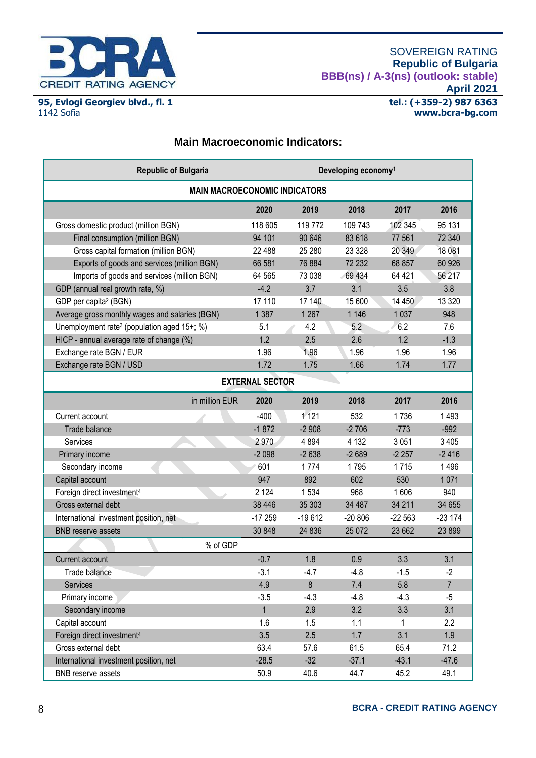

**95, Evlogi Georgiev blvd., fl. 1** 1142 Sofia

## **Main Macroeconomic Indicators:**

| <b>Republic of Bulgaria</b>                             | Developing economy <sup>1</sup> |          |          |          |                |
|---------------------------------------------------------|---------------------------------|----------|----------|----------|----------------|
| <b>MAIN MACROECONOMIC INDICATORS</b>                    |                                 |          |          |          |                |
|                                                         | 2020                            | 2019     | 2018     | 2017     | 2016           |
| Gross domestic product (million BGN)                    | 118 605                         | 119 772  | 109 743  | 102 345  | 95 131         |
| Final consumption (million BGN)                         | 94 101                          | 90 646   | 83 618   | 77 561   | 72 340         |
| Gross capital formation (million BGN)                   | 22 488                          | 25 280   | 23 3 28  | 20 349   | 18 081         |
| Exports of goods and services (million BGN)             | 66 581                          | 76 884   | 72 232   | 68 857   | 60 926         |
| Imports of goods and services (million BGN)             | 64 565                          | 73 038   | 69 434   | 64 4 21  | 56 217         |
| GDP (annual real growth rate, %)                        | $-4.2$                          | 3.7      | 3.1      | 3.5      | 3.8            |
| GDP per capita <sup>2</sup> (BGN)                       | 17 110                          | 17 140   | 15 600   | 14 450   | 13 3 20        |
| Average gross monthly wages and salaries (BGN)          | 1 3 8 7                         | 1 2 6 7  | 1 1 4 6  | 1 0 3 7  | 948            |
| Unemployment rate <sup>3</sup> (population aged 15+; %) | 5.1                             | 4.2      | 5.2      | 6.2      | 7.6            |
| HICP - annual average rate of change (%)                | 1.2                             | 2.5      | 2.6      | 1.2      | $-1.3$         |
| Exchange rate BGN / EUR                                 | 1.96                            | 1.96     | 1.96     | 1.96     | 1.96           |
| Exchange rate BGN / USD                                 | 1.72                            | 1.75     | 1.66     | 1.74     | 1.77           |
| <b>EXTERNAL SECTOR</b>                                  |                                 |          |          |          |                |
| in million EUR                                          | 2020                            | 2019     | 2018     | 2017     | 2016           |
| Current account                                         | $-400$                          | 1 1 2 1  | 532      | 1736     | 1493           |
| Trade balance                                           | $-1872$                         | $-2908$  | $-2706$  | $-773$   | $-992$         |
| Services                                                | 2970                            | 4894     | 4 1 3 2  | 3 0 5 1  | 3 4 0 5        |
| Primary income                                          | $-2098$                         | $-2638$  | $-2689$  | $-2257$  | $-2416$        |
| Secondary income                                        | 601                             | 1774     | 1795     | 1715     | 1496           |
| Capital account                                         | 947                             | 892      | 602      | 530      | 1071           |
| Foreign direct investment <sup>4</sup>                  | 2 1 2 4                         | 1534     | 968      | 1606     | 940            |
| Gross external debt                                     | 38 4 46                         | 35 30 3  | 34 487   | 34 211   | 34 655         |
| International investment position, net                  | $-17259$                        | $-19612$ | $-20806$ | $-22563$ | $-23174$       |
| <b>BNB</b> reserve assets                               | 30 848                          | 24 8 36  | 25 0 72  | 23 662   | 23 899         |
| % of GDP                                                |                                 |          |          |          |                |
| <b>Current account</b>                                  | $-0.7$                          | 1.8      | 0.9      | 3.3      | 3.1            |
| Trade balance                                           | $-3.1$                          | $-4.7$   | $-4.8$   | $-1.5$   | $-2$           |
| Services                                                | 4.9                             | 8        | 7.4      | 5.8      | $\overline{7}$ |
| Primary income                                          | $-3.5$                          | $-4.3$   | $-4.8$   | $-4.3$   | $-5$           |
| Secondary income                                        | $\mathbf{1}$                    | 2.9      | 3.2      | 3.3      | 3.1            |
| Capital account                                         | 1.6                             | 1.5      | 1.1      | 1        | 2.2            |
| Foreign direct investment <sup>4</sup>                  | 3.5                             | 2.5      | 1.7      | 3.1      | 1.9            |
| Gross external debt                                     | 63.4                            | 57.6     | 61.5     | 65.4     | 71.2           |
| International investment position, net                  | $-28.5$                         | $-32$    | $-37.1$  | $-43.1$  | $-47.6$        |
| <b>BNB</b> reserve assets                               | 50.9                            | 40.6     | 44.7     | 45.2     | 49.1           |